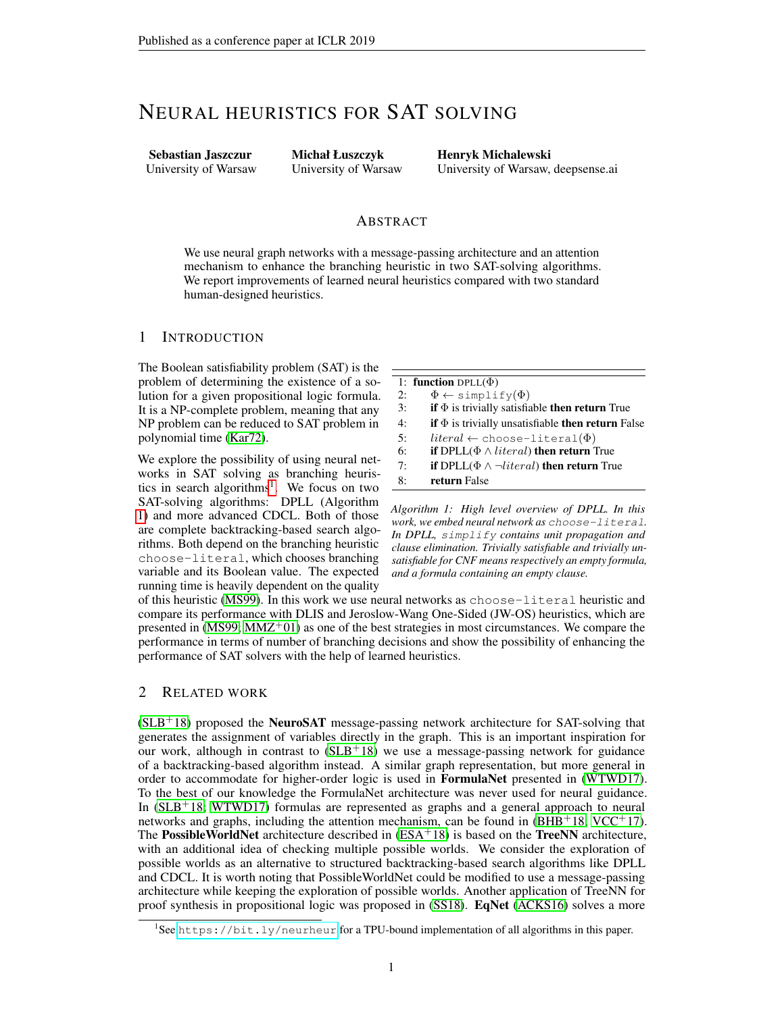# NEURAL HEURISTICS FOR SAT SOLVING

Sebastian Jaszczur University of Warsaw Michał Łuszczyk University of Warsaw Henryk Michalewski University of Warsaw, deepsense.ai

#### ABSTRACT

We use neural graph networks with a message-passing architecture and an attention mechanism to enhance the branching heuristic in two SAT-solving algorithms. We report improvements of learned neural heuristics compared with two standard human-designed heuristics.

## 1 INTRODUCTION

The Boolean satisfiability problem (SAT) is the problem of determining the existence of a solution for a given propositional logic formula. It is a NP-complete problem, meaning that any NP problem can be reduced to SAT problem in polynomial time [\(Kar72\)](#page-4-0).

We explore the possibility of using neural networks in SAT solving as branching heuris-tics in search algorithms<sup>[1](#page-0-0)</sup>. We focus on two SAT-solving algorithms: DPLL (Algorithm [1\)](#page-0-1) and more advanced CDCL. Both of those are complete backtracking-based search algorithms. Both depend on the branching heuristic choose-literal, which chooses branching variable and its Boolean value. The expected running time is heavily dependent on the quality <span id="page-0-1"></span>1: function DPLL $(\Phi)$ 2:  $\Phi \leftarrow \text{simplify}(\Phi)$ 3: if  $\Phi$  is trivially satisfiable then return True 4: if  $\Phi$  is trivially unsatisfiable then return False 5:  $literal \leftarrow \text{choose-literal}(\Phi)$ 6: if  $DPLL(\Phi \wedge literal)$  then return True 7: **if** DPLL( $\Phi \land \neg literal$ ) then return True 8: return False

*Algorithm 1: High level overview of DPLL. In this work, we embed neural network as* choose-literal*. In DPLL,* simplify *contains unit propagation and clause elimination. Trivially satisfiable and trivially unsatisfiable for CNF means respectively an empty formula, and a formula containing an empty clause.*

of this heuristic [\(MS99\)](#page-4-1). In this work we use neural networks as choose-literal heuristic and compare its performance with DLIS and Jeroslow-Wang One-Sided (JW-OS) heuristics, which are presented in  $(MS99; MMZ^+01)$  $(MS99; MMZ^+01)$  $(MS99; MMZ^+01)$  $(MS99; MMZ^+01)$  as one of the best strategies in most circumstances. We compare the performance in terms of number of branching decisions and show the possibility of enhancing the performance of SAT solvers with the help of learned heuristics.

# 2 RELATED WORK

 $(SLB<sup>+</sup>18)$  $(SLB<sup>+</sup>18)$  proposed the **NeuroSAT** message-passing network architecture for SAT-solving that generates the assignment of variables directly in the graph. This is an important inspiration for our work, although in contrast to  $(SLB+18)$  $(SLB+18)$  we use a message-passing network for guidance of a backtracking-based algorithm instead. A similar graph representation, but more general in order to accommodate for higher-order logic is used in FormulaNet presented in [\(WTWD17\)](#page-5-0). To the best of our knowledge the FormulaNet architecture was never used for neural guidance. In  $(SLB+18; WTWD17)$  $(SLB+18; WTWD17)$  $(SLB+18; WTWD17)$  formulas are represented as graphs and a general approach to neural networks and graphs, including the attention mechanism, can be found in  $(BHB<sup>+</sup>18$  $(BHB<sup>+</sup>18$ ; [VCC](#page-5-1)<sup>+</sup>17). The PossibleWorldNet architecture described in  $(ESA+18)$  $(ESA+18)$  is based on the TreeNN architecture, with an additional idea of checking multiple possible worlds. We consider the exploration of possible worlds as an alternative to structured backtracking-based search algorithms like DPLL and CDCL. It is worth noting that PossibleWorldNet could be modified to use a message-passing architecture while keeping the exploration of possible worlds. Another application of TreeNN for proof synthesis in propositional logic was proposed in [\(SS18\)](#page-4-6). EqNet [\(ACKS16\)](#page-4-7) solves a more

<span id="page-0-0"></span><sup>&</sup>lt;sup>1</sup>See <https://bit.ly/neurheur> for a TPU-bound implementation of all algorithms in this paper.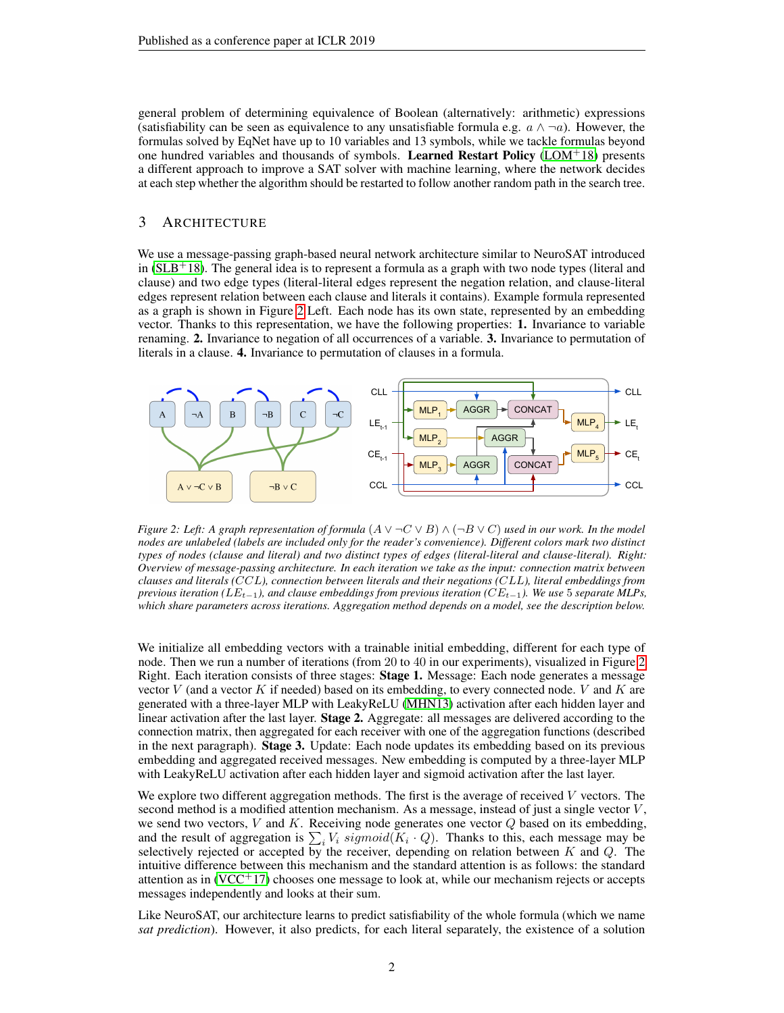general problem of determining equivalence of Boolean (alternatively: arithmetic) expressions (satisfiability can be seen as equivalence to any unsatisfiable formula e.g.  $a \wedge \neg a$ ). However, the formulas solved by EqNet have up to 10 variables and 13 symbols, while we tackle formulas beyond one hundred variables and thousands of symbols. Learned Restart Policy [\(LOM](#page-4-8) $+18$ ) presents a different approach to improve a SAT solver with machine learning, where the network decides at each step whether the algorithm should be restarted to follow another random path in the search tree.

#### <span id="page-1-1"></span>3 ARCHITECTURE

We use a message-passing graph-based neural network architecture similar to NeuroSAT introduced in  $(SLB+18)$  $(SLB+18)$ . The general idea is to represent a formula as a graph with two node types (literal and clause) and two edge types (literal-literal edges represent the negation relation, and clause-literal edges represent relation between each clause and literals it contains). Example formula represented as a graph is shown in Figure [2](#page-1-0) Left. Each node has its own state, represented by an embedding vector. Thanks to this representation, we have the following properties: 1. Invariance to variable renaming. 2. Invariance to negation of all occurrences of a variable. 3. Invariance to permutation of literals in a clause. 4. Invariance to permutation of clauses in a formula.

<span id="page-1-0"></span>

*Figure 2: Left: A graph representation of formula*  $(A \vee \neg C \vee B) \wedge (\neg B \vee C)$  *used in our work. In the model nodes are unlabeled (labels are included only for the reader's convenience). Different colors mark two distinct types of nodes (clause and literal) and two distinct types of edges (literal-literal and clause-literal). Right: Overview of message-passing architecture. In each iteration we take as the input: connection matrix between clauses and literals (*CCL*), connection between literals and their negations (*CLL*), literal embeddings from previous iteration (*LE<sub>t−1</sub>), and clause embeddings from previous iteration (CE<sub>t−1</sub>). We use 5 separate MLPs, *which share parameters across iterations. Aggregation method depends on a model, see the description below.*

We initialize all embedding vectors with a trainable initial embedding, different for each type of node. Then we run a number of iterations (from 20 to 40 in our experiments), visualized in Figure [2](#page-1-0) Right. Each iteration consists of three stages: Stage 1. Message: Each node generates a message vector  $V$  (and a vector  $K$  if needed) based on its embedding, to every connected node.  $V$  and  $K$  are generated with a three-layer MLP with LeakyReLU [\(MHN13\)](#page-4-9) activation after each hidden layer and linear activation after the last layer. **Stage 2.** Aggregate: all messages are delivered according to the connection matrix, then aggregated for each receiver with one of the aggregation functions (described in the next paragraph). Stage 3. Update: Each node updates its embedding based on its previous embedding and aggregated received messages. New embedding is computed by a three-layer MLP with LeakyReLU activation after each hidden layer and sigmoid activation after the last layer.

We explore two different aggregation methods. The first is the average of received  $V$  vectors. The second method is a modified attention mechanism. As a message, instead of just a single vector  $V$ , we send two vectors,  $V$  and  $K$ . Receiving node generates one vector  $Q$  based on its embedding, and the result of aggregation is  $\sum_i V_i$  sigmoid( $K_i \cdot Q$ ). Thanks to this, each message may be selectively rejected or accepted by the receiver, depending on relation between  $K$  and  $Q$ . The intuitive difference between this mechanism and the standard attention is as follows: the standard attention as in  $(VCC<sup>+</sup>17)$  $(VCC<sup>+</sup>17)$  chooses one message to look at, while our mechanism rejects or accepts messages independently and looks at their sum.

Like NeuroSAT, our architecture learns to predict satisfiability of the whole formula (which we name *sat prediction*). However, it also predicts, for each literal separately, the existence of a solution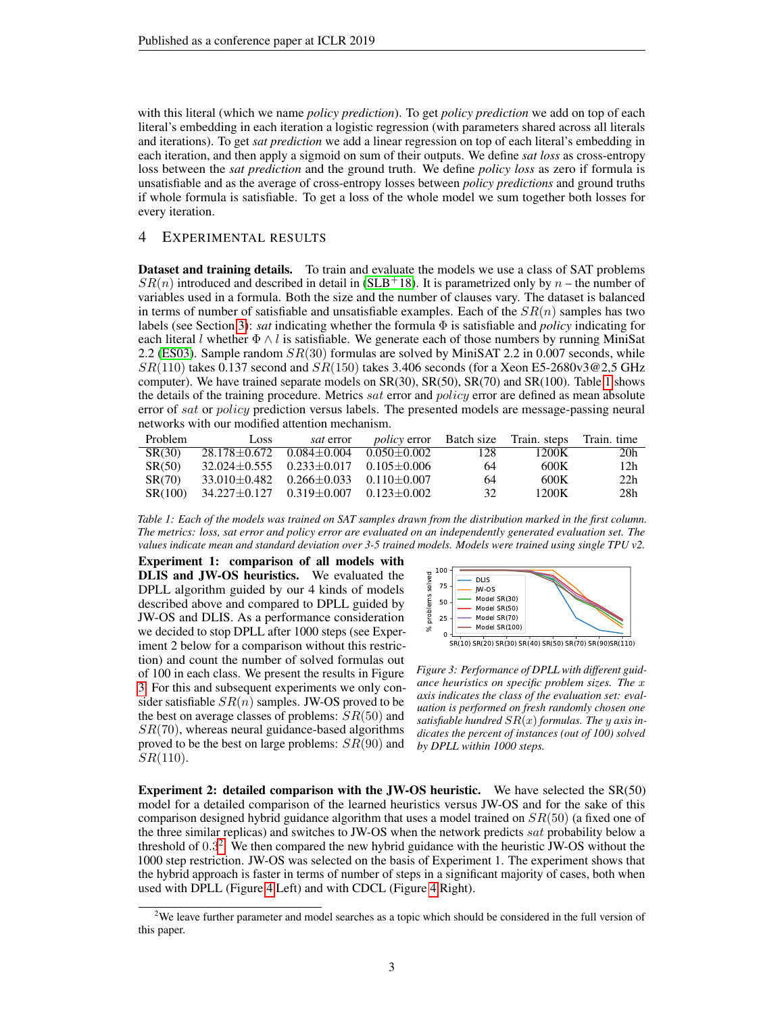with this literal (which we name *policy prediction*). To get *policy prediction* we add on top of each literal's embedding in each iteration a logistic regression (with parameters shared across all literals and iterations). To get *sat prediction* we add a linear regression on top of each literal's embedding in each iteration, and then apply a sigmoid on sum of their outputs. We define *sat loss* as cross-entropy loss between the *sat prediction* and the ground truth. We define *policy loss* as zero if formula is unsatisfiable and as the average of cross-entropy losses between *policy predictions* and ground truths if whole formula is satisfiable. To get a loss of the whole model we sum together both losses for every iteration.

## 4 EXPERIMENTAL RESULTS

Dataset and training details. To train and evaluate the models we use a class of SAT problems  $SR(n)$  introduced and described in detail in [\(SLB](#page-4-3)<sup>+</sup>18). It is parametrized only by n – the number of variables used in a formula. Both the size and the number of clauses vary. The dataset is balanced in terms of number of satisfiable and unsatisfiable examples. Each of the  $SR(n)$  samples has two labels (see Section [3\)](#page-1-1): *sat* indicating whether the formula Φ is satisfiable and *policy* indicating for each literal l whether  $\Phi \wedge l$  is satisfiable. We generate each of those numbers by running MiniSat 2.2 [\(ES03\)](#page-4-10). Sample random  $SR(30)$  formulas are solved by MiniSAT 2.2 in 0.007 seconds, while  $SR(110)$  takes 0.137 second and  $SR(150)$  takes 3.406 seconds (for a Xeon E5-2680v3@2.5 GHz computer). We have trained separate models on SR(30), SR(50), SR(70) and SR(100). Table [1](#page-2-0) shows the details of the training procedure. Metrics *sat* error and *policy* error are defined as mean absolute error of sat or policy prediction versus labels. The presented models are message-passing neural networks with our modified attention mechanism.

<span id="page-2-0"></span>

| <b>Problem</b> | Loss                                                   | <i>sat</i> error |     | <i>policy</i> error Batch size Train, steps Train, time |                 |
|----------------|--------------------------------------------------------|------------------|-----|---------------------------------------------------------|-----------------|
| SR(30)         | $28.178 \pm 0.672$ $0.084 \pm 0.004$ $0.050 \pm 0.002$ |                  | 128 | 1200K                                                   | 20 <sub>h</sub> |
| SR(50)         | $32.024 \pm 0.555$ $0.233 \pm 0.017$ $0.105 \pm 0.006$ |                  | 64  | 600K                                                    | 12 <sub>h</sub> |
| <b>SR(70)</b>  | $33.010 \pm 0.482$ $0.266 \pm 0.033$ $0.110 \pm 0.007$ |                  | 64  | 600K                                                    | 22h             |
| SR(100)        | $34.227 \pm 0.127$ $0.319 \pm 0.007$ $0.123 \pm 0.002$ |                  | 32  | 1200K                                                   | 28h             |

*Table 1: Each of the models was trained on SAT samples drawn from the distribution marked in the first column. The metrics: loss, sat error and policy error are evaluated on an independently generated evaluation set. The values indicate mean and standard deviation over 3-5 trained models. Models were trained using single TPU v2.*

<span id="page-2-3"></span>Experiment 1: comparison of all models with DLIS and JW-OS heuristics. We evaluated the DPLL algorithm guided by our 4 kinds of models described above and compared to DPLL guided by JW-OS and DLIS. As a performance consideration we decided to stop DPLL after 1000 steps (see Experiment 2 below for a comparison without this restriction) and count the number of solved formulas out of 100 in each class. We present the results in Figure [3.](#page-2-1) For this and subsequent experiments we only consider satisfiable  $SR(n)$  samples. JW-OS proved to be the best on average classes of problems:  $SR(50)$  and  $SR(70)$ , whereas neural guidance-based algorithms proved to be the best on large problems:  $SR(90)$  and  $SR(110)$ .

<span id="page-2-1"></span>

*Figure 3: Performance of DPLL with different guidance heuristics on specific problem sizes. The* x *axis indicates the class of the evaluation set: evaluation is performed on fresh randomly chosen one satisfiable hundred* SR(x) *formulas. The* y *axis in-*

*dicates the percent of instances (out of 100) solved*

*by DPLL within 1000 steps.*

Experiment 2: detailed comparison with the JW-OS heuristic. We have selected the SR(50) model for a detailed comparison of the learned heuristics versus JW-OS and for the sake of this comparison designed hybrid guidance algorithm that uses a model trained on  $SR(50)$  (a fixed one of the three similar replicas) and switches to JW-OS when the network predicts sat probability below a threshold of 0.3 [2](#page-2-2) . We then compared the new hybrid guidance with the heuristic JW-OS without the 1000 step restriction. JW-OS was selected on the basis of Experiment 1. The experiment shows that the hybrid approach is faster in terms of number of steps in a significant majority of cases, both when used with DPLL (Figure [4](#page-3-0) Left) and with CDCL (Figure [4](#page-3-0) Right).

<span id="page-2-2"></span><sup>&</sup>lt;sup>2</sup>We leave further parameter and model searches as a topic which should be considered in the full version of this paper.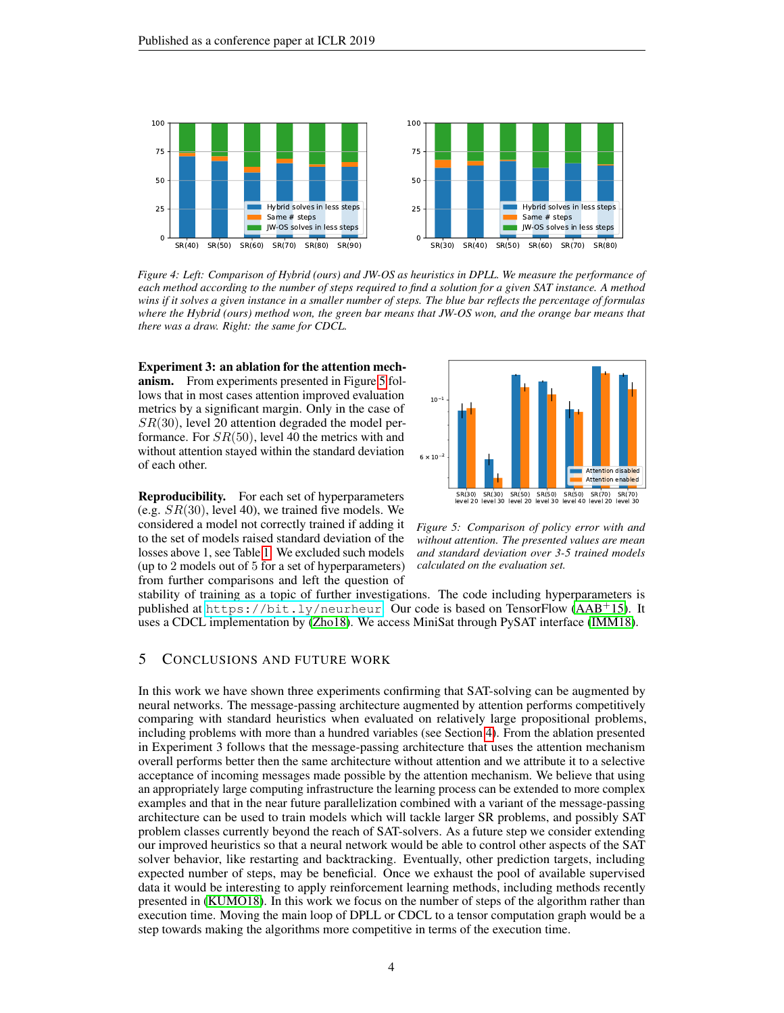<span id="page-3-0"></span>

*Figure 4: Left: Comparison of Hybrid (ours) and JW-OS as heuristics in DPLL. We measure the performance of each method according to the number of steps required to find a solution for a given SAT instance. A method wins if it solves a given instance in a smaller number of steps. The blue bar reflects the percentage of formulas where the Hybrid (ours) method won, the green bar means that JW-OS won, and the orange bar means that there was a draw. Right: the same for CDCL.*

Experiment 3: an ablation for the attention mechanism. From experiments presented in Figure [5](#page-3-1) follows that in most cases attention improved evaluation metrics by a significant margin. Only in the case of  $SR(30)$ , level 20 attention degraded the model performance. For  $SR(50)$ , level 40 the metrics with and without attention stayed within the standard deviation of each other.

Reproducibility. For each set of hyperparameters (e.g.  $SR(30)$ , level 40), we trained five models. We considered a model not correctly trained if adding it to the set of models raised standard deviation of the losses above 1, see Table [1.](#page-2-0) We excluded such models (up to 2 models out of 5 for a set of hyperparameters) from further comparisons and left the question of

<span id="page-3-1"></span>

*Figure 5: Comparison of policy error with and without attention. The presented values are mean and standard deviation over 3-5 trained models calculated on the evaluation set.*

stability of training as a topic of further investigations. The code including hyperparameters is published at <https://bit.ly/neurheur>. Our code is based on TensorFlow ( $AAB+15$ ). It uses a CDCL implementation by [\(Zho18\)](#page-5-2). We access MiniSat through PySAT interface [\(IMM18\)](#page-4-12).

# 5 CONCLUSIONS AND FUTURE WORK

In this work we have shown three experiments confirming that SAT-solving can be augmented by neural networks. The message-passing architecture augmented by attention performs competitively comparing with standard heuristics when evaluated on relatively large propositional problems, including problems with more than a hundred variables (see Section [4\)](#page-2-3). From the ablation presented in Experiment 3 follows that the message-passing architecture that uses the attention mechanism overall performs better then the same architecture without attention and we attribute it to a selective acceptance of incoming messages made possible by the attention mechanism. We believe that using an appropriately large computing infrastructure the learning process can be extended to more complex examples and that in the near future parallelization combined with a variant of the message-passing architecture can be used to train models which will tackle larger SR problems, and possibly SAT problem classes currently beyond the reach of SAT-solvers. As a future step we consider extending our improved heuristics so that a neural network would be able to control other aspects of the SAT solver behavior, like restarting and backtracking. Eventually, other prediction targets, including expected number of steps, may be beneficial. Once we exhaust the pool of available supervised data it would be interesting to apply reinforcement learning methods, including methods recently presented in [\(KUMO18\)](#page-4-13). In this work we focus on the number of steps of the algorithm rather than execution time. Moving the main loop of DPLL or CDCL to a tensor computation graph would be a step towards making the algorithms more competitive in terms of the execution time.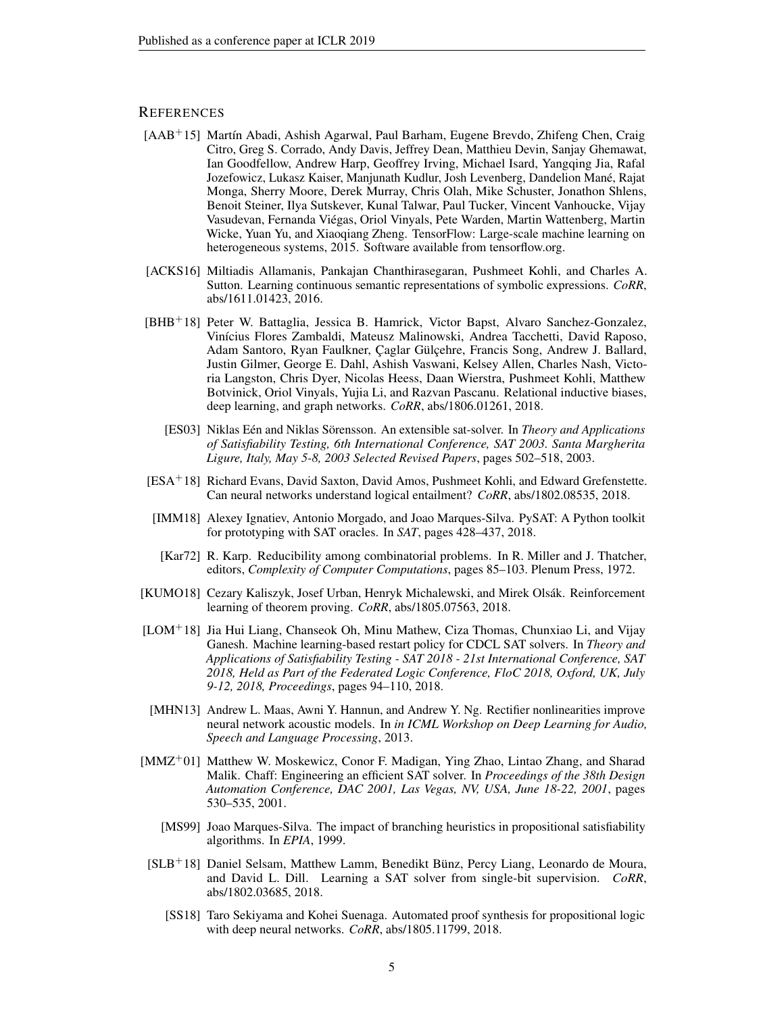## **REFERENCES**

- <span id="page-4-11"></span>[AAB+15] Martín Abadi, Ashish Agarwal, Paul Barham, Eugene Brevdo, Zhifeng Chen, Craig Citro, Greg S. Corrado, Andy Davis, Jeffrey Dean, Matthieu Devin, Sanjay Ghemawat, Ian Goodfellow, Andrew Harp, Geoffrey Irving, Michael Isard, Yangqing Jia, Rafal Jozefowicz, Lukasz Kaiser, Manjunath Kudlur, Josh Levenberg, Dandelion Mané, Rajat Monga, Sherry Moore, Derek Murray, Chris Olah, Mike Schuster, Jonathon Shlens, Benoit Steiner, Ilya Sutskever, Kunal Talwar, Paul Tucker, Vincent Vanhoucke, Vijay Vasudevan, Fernanda Viégas, Oriol Vinyals, Pete Warden, Martin Wattenberg, Martin Wicke, Yuan Yu, and Xiaoqiang Zheng. TensorFlow: Large-scale machine learning on heterogeneous systems, 2015. Software available from tensorflow.org.
- <span id="page-4-7"></span>[ACKS16] Miltiadis Allamanis, Pankajan Chanthirasegaran, Pushmeet Kohli, and Charles A. Sutton. Learning continuous semantic representations of symbolic expressions. *CoRR*, abs/1611.01423, 2016.
- <span id="page-4-4"></span>[BHB+18] Peter W. Battaglia, Jessica B. Hamrick, Victor Bapst, Alvaro Sanchez-Gonzalez, Vinícius Flores Zambaldi, Mateusz Malinowski, Andrea Tacchetti, David Raposo, Adam Santoro, Ryan Faulkner, Çaglar Gülçehre, Francis Song, Andrew J. Ballard, Justin Gilmer, George E. Dahl, Ashish Vaswani, Kelsey Allen, Charles Nash, Victoria Langston, Chris Dyer, Nicolas Heess, Daan Wierstra, Pushmeet Kohli, Matthew Botvinick, Oriol Vinyals, Yujia Li, and Razvan Pascanu. Relational inductive biases, deep learning, and graph networks. *CoRR*, abs/1806.01261, 2018.
	- [ES03] Niklas Eén and Niklas Sörensson. An extensible sat-solver. In *Theory and Applications of Satisfiability Testing, 6th International Conference, SAT 2003. Santa Margherita Ligure, Italy, May 5-8, 2003 Selected Revised Papers*, pages 502–518, 2003.
- <span id="page-4-10"></span><span id="page-4-5"></span>[ESA<sup>+</sup>18] Richard Evans, David Saxton, David Amos, Pushmeet Kohli, and Edward Grefenstette. Can neural networks understand logical entailment? *CoRR*, abs/1802.08535, 2018.
- <span id="page-4-12"></span>[IMM18] Alexey Ignatiev, Antonio Morgado, and Joao Marques-Silva. PySAT: A Python toolkit for prototyping with SAT oracles. In *SAT*, pages 428–437, 2018.
- <span id="page-4-0"></span>[Kar72] R. Karp. Reducibility among combinatorial problems. In R. Miller and J. Thatcher, editors, *Complexity of Computer Computations*, pages 85–103. Plenum Press, 1972.
- <span id="page-4-13"></span>[KUMO18] Cezary Kaliszyk, Josef Urban, Henryk Michalewski, and Mirek Olsák. Reinforcement learning of theorem proving. *CoRR*, abs/1805.07563, 2018.
- <span id="page-4-8"></span>[LOM<sup>+</sup>18] Jia Hui Liang, Chanseok Oh, Minu Mathew, Ciza Thomas, Chunxiao Li, and Vijay Ganesh. Machine learning-based restart policy for CDCL SAT solvers. In *Theory and Applications of Satisfiability Testing - SAT 2018 - 21st International Conference, SAT 2018, Held as Part of the Federated Logic Conference, FloC 2018, Oxford, UK, July 9-12, 2018, Proceedings*, pages 94–110, 2018.
- <span id="page-4-9"></span>[MHN13] Andrew L. Maas, Awni Y. Hannun, and Andrew Y. Ng. Rectifier nonlinearities improve neural network acoustic models. In *in ICML Workshop on Deep Learning for Audio, Speech and Language Processing*, 2013.
- <span id="page-4-2"></span>[MMZ<sup>+</sup>01] Matthew W. Moskewicz, Conor F. Madigan, Ying Zhao, Lintao Zhang, and Sharad Malik. Chaff: Engineering an efficient SAT solver. In *Proceedings of the 38th Design Automation Conference, DAC 2001, Las Vegas, NV, USA, June 18-22, 2001*, pages 530–535, 2001.
	- [MS99] Joao Marques-Silva. The impact of branching heuristics in propositional satisfiability algorithms. In *EPIA*, 1999.
- <span id="page-4-6"></span><span id="page-4-3"></span><span id="page-4-1"></span>[SLB<sup>+</sup>18] Daniel Selsam, Matthew Lamm, Benedikt Bünz, Percy Liang, Leonardo de Moura, and David L. Dill. Learning a SAT solver from single-bit supervision. *CoRR*, abs/1802.03685, 2018.
	- [SS18] Taro Sekiyama and Kohei Suenaga. Automated proof synthesis for propositional logic with deep neural networks. *CoRR*, abs/1805.11799, 2018.